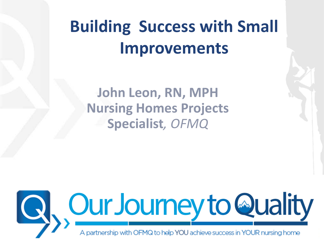# **Building Success with Small Improvements**

**John Leon, RN, MPH Nursing Homes Projects Specialist***, OFMQ*

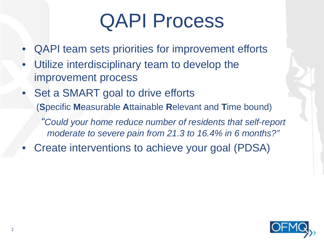# QAPI Process

- QAPI team sets priorities for improvement efforts
- Utilize interdisciplinary team to develop the improvement process
- Set a SMART goal to drive efforts (**S**pecific **M**easurable **A**ttainable **R**elevant and **T**ime bound)

*"Could your home reduce number of residents that self-report moderate to severe pain from 21.3 to 16.4% in 6 months?"*

• Create interventions to achieve your goal (PDSA)

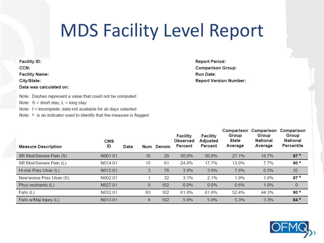## **MDS Facility Level Report**

Note: Dashes represent a value that could not be computed

- Note:  $S =$  short stay,  $L =$  long stay
- Note: I = incomplete; data not available for all days selected
- Note: \* is an indicator used to identify that the measure is flagged

**Report Period: Comparison Group: Run Date: Report Version Number:** 

| <b>Measure Description</b> | <b>CMS</b><br>ID | Data | Num | Denom | <b>Facility</b><br><b>Observed</b><br>Percent | <b>Facility</b><br><b>Adjusted</b><br>Percent | Comparison<br>Group<br><b>State</b><br>Average | Comparison<br>Group<br>National<br>Average | Comparison<br>Group<br><b>National</b><br>Percentile |
|----------------------------|------------------|------|-----|-------|-----------------------------------------------|-----------------------------------------------|------------------------------------------------|--------------------------------------------|------------------------------------------------------|
| SR Mod/Severe Pain (S)     | N001.01          |      | 10  | 20    | 50.0%                                         | 50.0%                                         | 27.1%                                          | 18.7%                                      | $97*$                                                |
| SR Mod/Severe Pain (L)     | N014.01          |      | 15  | 61    | 24.6%                                         | 17.7%                                         | 13.0%                                          | 7.7%                                       | $90*$                                                |
| Hi-risk Pres Ulcer (L)     | N015.01          |      | 3   | 76    | 3.9%                                          | 3.9%                                          | 7.6%                                           | 6.5%                                       | 35                                                   |
| New/worse Pres Ulcer (S)   | N002.01          |      |     | 32    | 3.1%                                          | 2.1%                                          | 1.9%                                           | 1.0%                                       | $87*$                                                |
| Phys restraints (L)        | N027.01          |      | 0   | 102   | $0.0\%$                                       | $0.0\%$                                       | 0.6%                                           | 1.0%                                       | $\mathbf{0}$                                         |
| Falls (L)                  | N032.01          |      | 63  | 102   | 61.8%                                         | 61.8%                                         | 52.4%                                          | 44.3%                                      | $90*$                                                |
| Falls w/Mai Injury (L)     | N013.01          |      | 6.  | 102   | 5.9%                                          | 5.9%                                          | 5.3%                                           | 3.3%                                       | $84*$                                                |

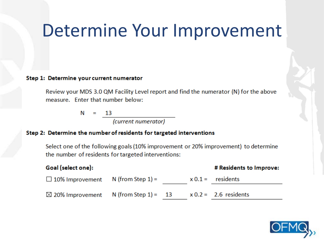## Determine Your Improvement

#### Step 1: Determine your current numerator

Review your MDS 3.0 QM Facility Level report and find the numerator (N) for the above measure. Enter that number below:

> N 13  $=$

> > (current numerator)

#### Step 2: Determine the number of residents for targeted interventions

Select one of the following goals (10% improvement or 20% improvement) to determine the number of residents for targeted interventions:

| Goal (select one):                               |                      |  | # Residents to Improve: |
|--------------------------------------------------|----------------------|--|-------------------------|
| $\Box$ 10% Improvement                           | N (from Step $1$ ) = |  | $x 0.1 =$ residents     |
| $\boxtimes$ 20% Improvement N (from Step 1) = 13 |                      |  | $x 0.2 = 2.6$ residents |

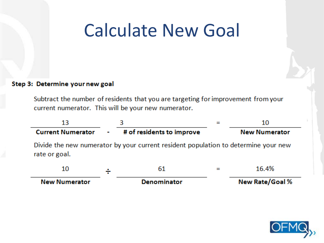## Calculate New Goal

#### Step 3: Determine your new goal

Subtract the number of residents that you are targeting for improvement from your current numerator. This will be your new numerator.



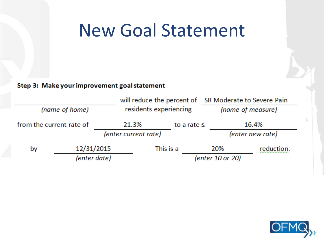## New Goal Statement

#### Step 3: Make your improvement goal statement

|                          |            |                        |           |                   | will reduce the percent of SR Moderate to Severe Pain |                  |  |  |  |  |  |  |
|--------------------------|------------|------------------------|-----------|-------------------|-------------------------------------------------------|------------------|--|--|--|--|--|--|
| (name of home)           |            | residents experiencing |           | (name of measure) |                                                       |                  |  |  |  |  |  |  |
| from the current rate of |            | 21.3%                  |           | to a rate $\leq$  |                                                       | 16.4%            |  |  |  |  |  |  |
|                          |            | (enter current rate)   |           |                   |                                                       | (enter new rate) |  |  |  |  |  |  |
| by                       | 12/31/2015 |                        | This is a |                   | 20%                                                   | reduction.       |  |  |  |  |  |  |
| (enter date)             |            |                        |           |                   | (enter 10 or 20)                                      |                  |  |  |  |  |  |  |

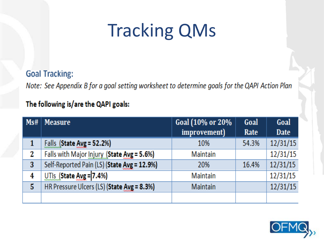# Tracking QMs

**Goal Tracking:** 

Note: See Appendix B for a goal setting worksheet to determine goals for the QAPI Action Plan

#### The following is/are the QAPI goals:

| Ms# | <b>Measure</b>                              | Goal (10% or 20% | Goal  | Goal        |
|-----|---------------------------------------------|------------------|-------|-------------|
|     |                                             | improvement)     | Rate  | <b>Date</b> |
| 1   | Falls (State Avg = 52.2%)                   | 10%              | 54.3% | 12/31/15    |
| 2   | Falls with Major Injury (State Avg = 5.6%)  | Maintain         |       | 12/31/15    |
| 3   | Self-Reported Pain (LS) (State Avg = 12.9%) | 20%              | 16.4% | 12/31/15    |
| 4   | $UTs$ (State Avg = 7.4%)                    | Maintain         |       | 12/31/15    |
| 5   | HR Pressure Ulcers (LS) (State Avg = 8.3%)  | Maintain         |       | 12/31/15    |
|     |                                             |                  |       |             |

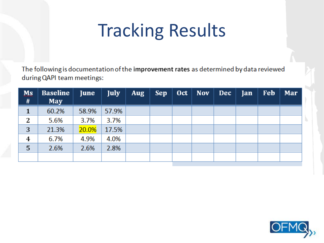# Tracking Results

The following is documentation of the improvement rates as determined by data reviewed during QAPI team meetings:

| Ms<br># | <b>Baseline</b><br>May | June  | <b>July</b> | <b>Aug</b> | <b>Sep</b> | Oct | <b>Nov</b> | <b>Dec</b> | Jan | <b>Feb</b> | Mar |
|---------|------------------------|-------|-------------|------------|------------|-----|------------|------------|-----|------------|-----|
| 1       | 60.2%                  | 58.9% | 57.9%       |            |            |     |            |            |     |            |     |
| 2       | 5.6%                   | 3.7%  | 3.7%        |            |            |     |            |            |     |            |     |
| 3       | 21.3%                  | 20.0% | 17.5%       |            |            |     |            |            |     |            |     |
| 4       | 6.7%                   | 4.9%  | 4.0%        |            |            |     |            |            |     |            |     |
| 5       | 2.6%                   | 2.6%  | 2.8%        |            |            |     |            |            |     |            |     |
|         |                        |       |             |            |            |     |            |            |     |            |     |

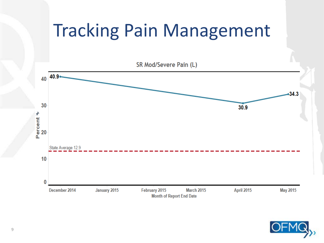# Tracking Pain Management



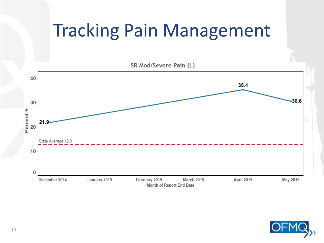# Tracking Pain Management

SR Mod/Severe Pain (L)



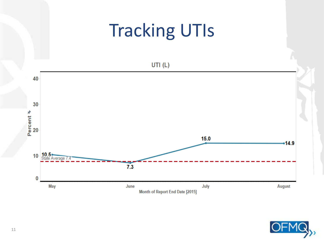## **Tracking UTIs**

UTI $(L)$ 



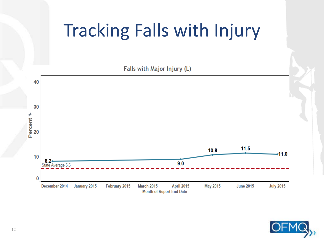# Tracking Falls with Injury

Falls with Major Injury (L)



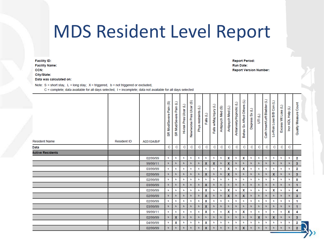## **MDS Resident Level Report**

**Facility ID: Facility Name:** CCN: City/State: Data was calculated on:

**Report Period: Run Date: Report Version Number:** 

Note:  $S =$  short stay,  $L =$  long stay;  $X =$  triggered,  $b =$  not triggered or excluded,

C = complete; data available for all days selected, I = incomplete; data not available for all days selected

| <b>Resident Name</b>    | <b>Resident ID</b> | A0310A/B/F | <u>ග</u><br>Pain<br><b>Mod/Severe</b><br>œ | Э<br>Pain<br>Mod/Severe<br>æ | Э<br>Ulcer<br>Pres<br>Hi-risk | ⊛<br>Pres Ulcer<br>New/worse | Э<br>Phys restraints | Falls (L)        | Falls w/Maj Injury (L) | Antipsych Med (S) | Antipsych Med (L) | Antianxiety/Hypnotic (L) | Behav Sx Affect Others (L) | Э<br>Depress Sx | UTI (L)                   | Cath Insert/Left Bladder (L) | Э<br><b>Con</b><br>Lo-Risk Lose B/B | €<br>Loss<br>℥<br>Excess | Э<br>$rac{6}{2}$<br><b>ADL</b><br>İ | Quality Measure Count |
|-------------------------|--------------------|------------|--------------------------------------------|------------------------------|-------------------------------|------------------------------|----------------------|------------------|------------------------|-------------------|-------------------|--------------------------|----------------------------|-----------------|---------------------------|------------------------------|-------------------------------------|--------------------------|-------------------------------------|-----------------------|
| Data                    |                    |            | С                                          | С                            | C                             | С                            | C                    | С                | С                      | C                 | C                 | C                        | C                          | С               | С                         | С                            | С                                   | С                        | C                                   |                       |
| <b>Active Residents</b> |                    |            |                                            |                              |                               |                              |                      |                  |                        |                   |                   |                          |                            |                 |                           |                              |                                     |                          |                                     |                       |
|                         |                    | 02/99/99   | b                                          | b                            | b                             | b                            | b                    | ь                | b                      | b                 | X                 | b                        | X                          | b               | ь                         | ь                            | b                                   | b                        | ь                                   | 2                     |
|                         |                    | 99/99/11   | b                                          | b                            | ы                             | b                            | b                    | $\mathbf{x}$     | $\mathbf{x}$           | b                 | X                 | b                        | b                          | b               | b                         | b                            | $\mathbf b$                         | b                        | b.                                  | 3 <sup>1</sup>        |
|                         |                    | 03/99/99   | ь                                          | ь                            | ь                             | b                            | b                    | b                | b                      | ь                 | X                 | b                        | X                          | b               | b                         | b                            | b                                   | ь                        | b                                   | 2                     |
|                         |                    | 02/99/99   | b                                          | Ы                            | ы                             | b                            | b                    | $\mathbf{x}$     | b                      | b.                | $\mathbf x$       | ь                        | $\mathbf b$                | b               | b                         | b                            | X                                   | b                        | Ы                                   | 3 <sup>1</sup>        |
|                         |                    | 02/99/99   | b                                          | ь                            | b                             | b                            | b                    | ь                | b                      | b                 | b                 | b                        | b                          | b               | b                         | b                            | b                                   | b                        | b                                   | 0                     |
|                         |                    | 03/99/99   | b                                          | ь                            | ы                             | b                            | b                    | $\mathbf{x}$     | b                      | b                 | b                 | Ы                        | b                          | b               | b                         | b                            | b                                   | b                        | ь                                   | $\mathbf{1}$          |
|                         |                    | 02/99/99   | ь                                          | ь                            | ь                             | ь                            | ь                    | x                | ь                      | ь                 | X                 | ь                        | X                          | b               | ь                         | ь                            | X                                   | ь                        | ь                                   | 4                     |
|                         |                    | 02/99/99   | b                                          | $\mathbf b$                  | b                             | $\mathbf b$                  | b                    | $\boldsymbol{x}$ | Ы                      | b                 | $\mathbf{x}$      | Ы                        | $\mathbf x$                | b               | b                         | b                            | b                                   | b                        | ь                                   | 3 <sup>1</sup>        |
|                         |                    | 02/99/99   | b                                          | ь                            | b                             | b                            | b                    | Х                | ь                      | b                 | b                 | b                        | b                          | b               | b                         | b                            | b                                   | ь                        | b                                   | 1                     |
|                         |                    | 03/99/99   | ь                                          | $\mathbf b$                  | ы                             | b                            | ь                    | X                | ы                      | b                 | b                 | b                        | b                          | b               | b                         | b                            | b                                   | b                        | ь                                   | $\mathbf{1}$          |
|                         |                    | 99/99/11   | b                                          | ь                            | ь                             | b                            | b                    | X                | ь                      | ь                 | X                 | b                        | X                          | b               | ь                         | b                            | b                                   | ь                        | X                                   | 4                     |
|                         |                    | 02/99/99   | b                                          | X                            | b                             | $\mathbf b$                  | ы                    | Ы                | ы                      | Ы                 | $\mathbf b$       | Ы                        | $\mathbf b$                | b               | $\boldsymbol{\mathsf{x}}$ | b                            | $\boldsymbol{\mathsf{x}}$           | b                        | Ы                                   | 3 <sup>1</sup>        |
|                         |                    | 04/99/99   | b                                          | x                            | ь                             | b                            | b                    | X                | ь                      | b                 | b                 | b                        | b                          | b               | b                         | b                            | ь                                   | b                        | b                                   | 2                     |
|                         |                    | 02/99/99   | ь                                          | ы                            | b                             | b                            | b                    | $\mathbf x$      | ы                      | b                 | $\mathbf b$       | b                        | $\mathbf x$                | b               | b                         | b                            | b                                   | Ы                        | ь                                   | 2 <sup>7</sup>        |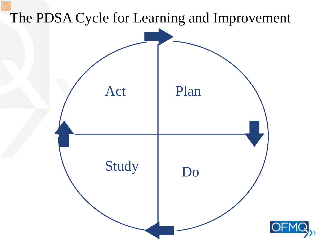## The PDSA Cycle for Learning and Improvement

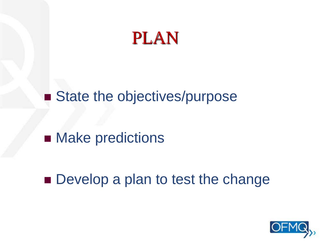

### ■ State the objectives/purpose

## **Nake predictions**

**Develop a plan to test the change** 

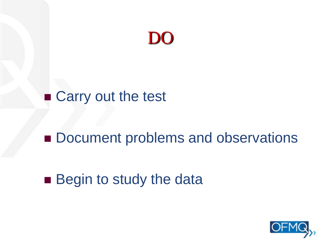

### ■ Carry out the test

## **Document problems and observations**

## ■ Begin to study the data

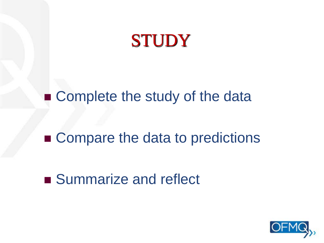

■ Complete the study of the data

### ■ Compare the data to predictions

### ■ Summarize and reflect

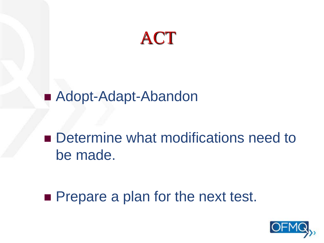

## ■ Adopt-Adapt-Abandon

## ■ Determine what modifications need to be made.

**Prepare a plan for the next test.** 

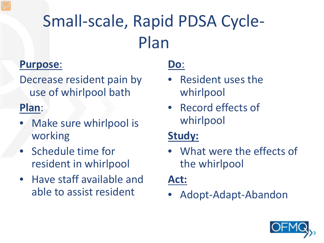# Small-scale, Rapid PDSA Cycle-Plan

#### **Purpose**:

Decrease resident pain by use of whirlpool bath

#### **Plan**:

- Make sure whirlpool is working
- Schedule time for resident in whirlpool
- Have staff available and able to assist resident

#### **Do**:

- Resident uses the whirlpool
- Record effects of whirlpool

#### **Study:**

• What were the effects of the whirlpool

#### **Act:**

• Adopt-Adapt-Abandon

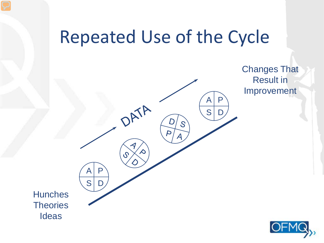## Repeated Use of the Cycle



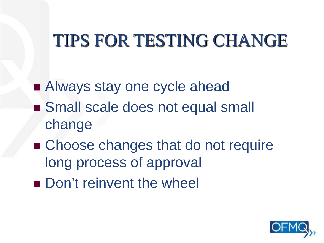# TIPS FOR TESTING CHANGE

■ Always stay one cycle ahead ■ Small scale does not equal small change

- Choose changes that do not require long process of approval
- Don't reinvent the wheel

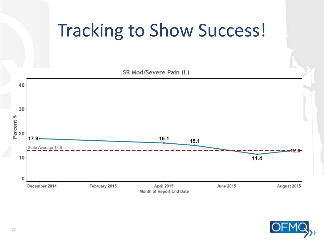## Tracking to Show Success!

SR Mod/Severe Pain (L) 40 30 Percent **\*** 20  $17.9•$  $16.1$  $15.1$ State Average 12.9 28 10  $11.4$ 0 December 2014 February 2015 April 2015 **June 2015** August 2015 **Month of Report End Date**